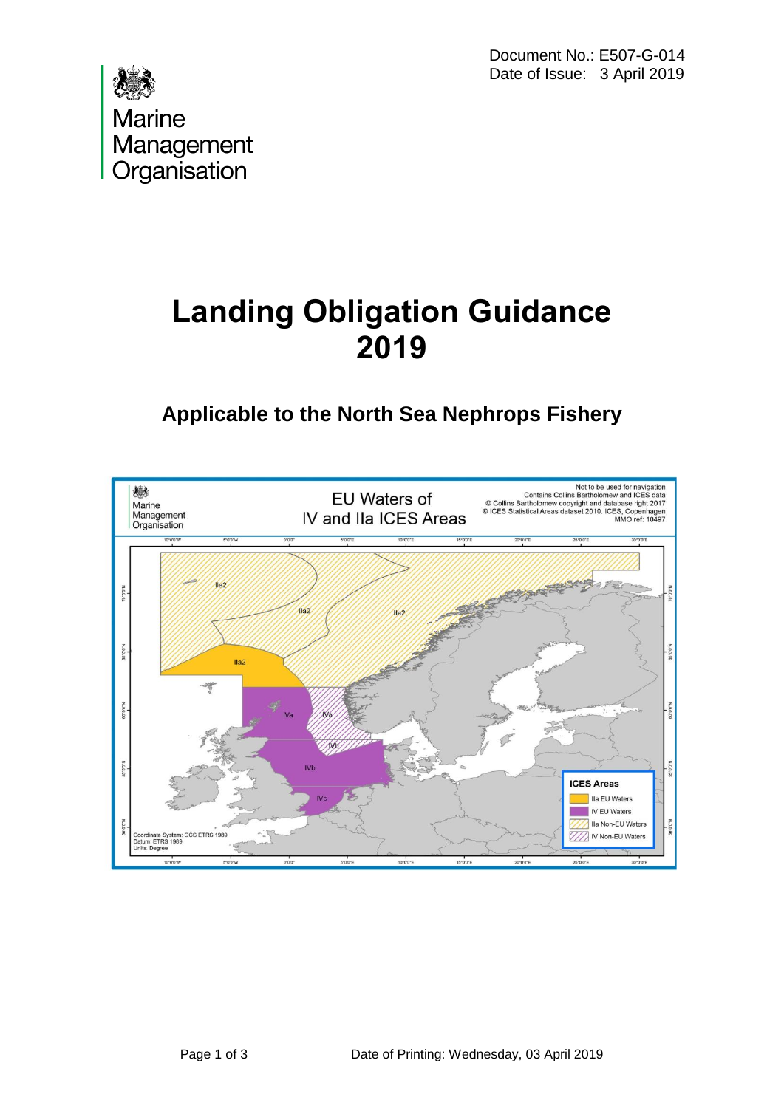Document No.: E507-G-014 Date of Issue: 3 April 2019



# **Landing Obligation Guidance 2019**

## **Applicable to the North Sea Nephrops Fishery**

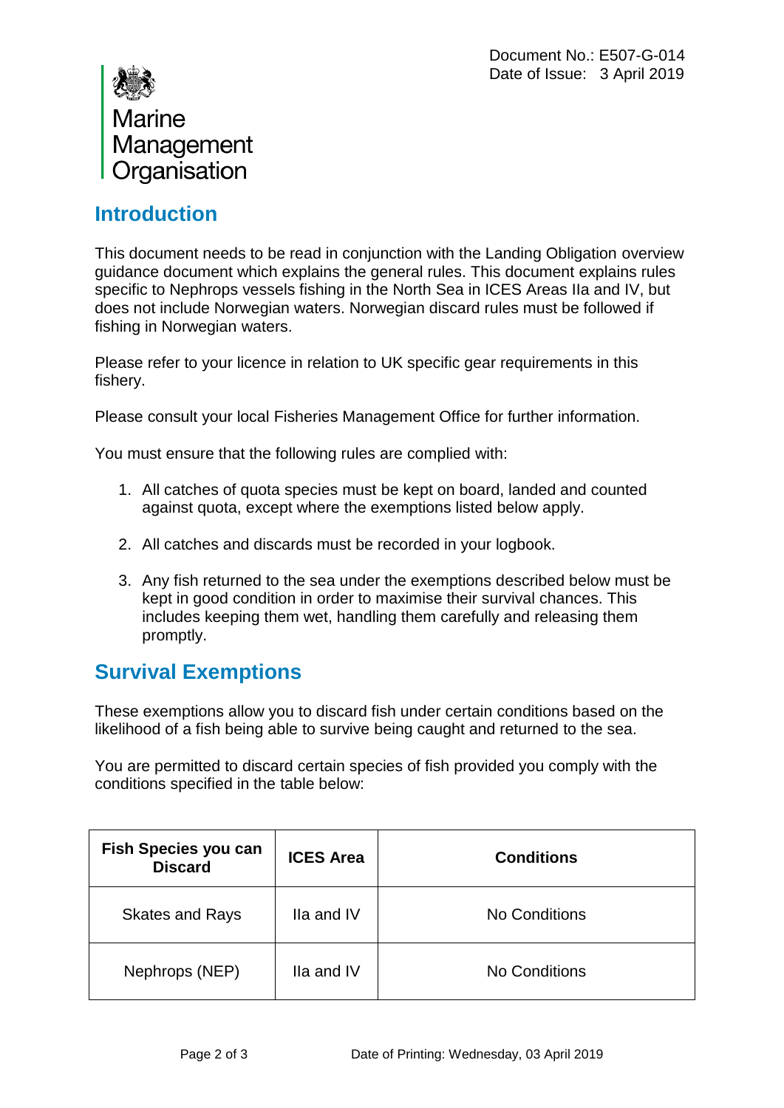

#### **Introduction**

This document needs to be read in conjunction with the Landing Obligation overview guidance document which explains the general rules. This document explains rules specific to Nephrops vessels fishing in the North Sea in ICES Areas IIa and IV, but does not include Norwegian waters. Norwegian discard rules must be followed if fishing in Norwegian waters.

Please refer to your licence in relation to UK specific gear requirements in this fishery.

Please consult your local Fisheries Management Office for further information.

You must ensure that the following rules are complied with:

- 1. All catches of quota species must be kept on board, landed and counted against quota, except where the exemptions listed below apply.
- 2. All catches and discards must be recorded in your logbook.
- 3. Any fish returned to the sea under the exemptions described below must be kept in good condition in order to maximise their survival chances. This includes keeping them wet, handling them carefully and releasing them promptly.

#### **Survival Exemptions**

These exemptions allow you to discard fish under certain conditions based on the likelihood of a fish being able to survive being caught and returned to the sea.

You are permitted to discard certain species of fish provided you comply with the conditions specified in the table below:

| <b>Fish Species you can</b><br><b>Discard</b> | <b>ICES Area</b> | <b>Conditions</b> |
|-----------------------------------------------|------------------|-------------------|
| <b>Skates and Rays</b>                        | Ila and IV       | No Conditions     |
| Nephrops (NEP)                                | Ila and IV       | No Conditions     |